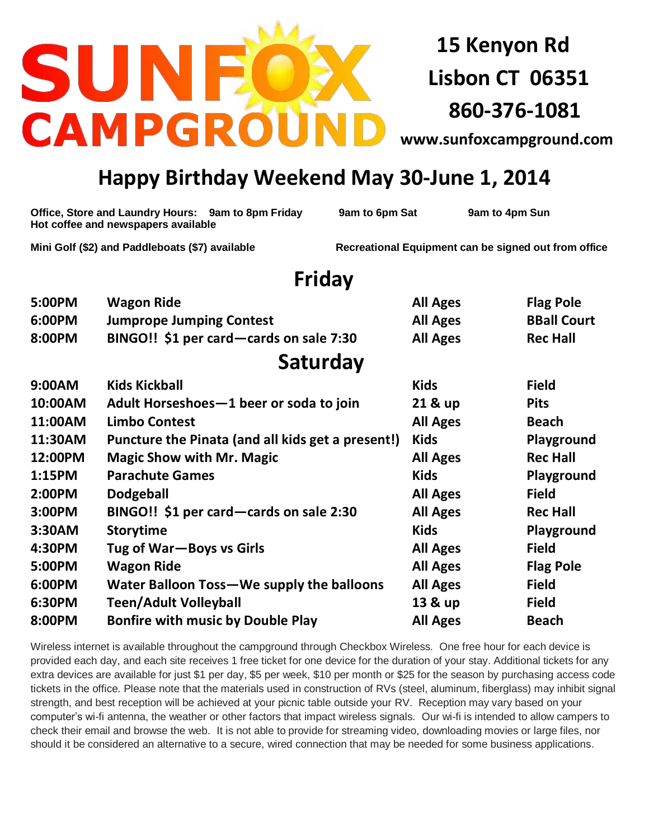## SUI **CAMPGR**

**15 Kenyon Rd Lisbon CT 06351 860-376-1081**

**[www.sunfoxcampground.com](http://www.sunfoxcampground.com/)**

## **Happy Birthday Weekend May 30-June 1, 2014**

| Mini Golf (\$2) and Paddleboats (\$7) available<br>Friday<br>5:00PM<br><b>Flag Pole</b><br><b>Wagon Ride</b><br><b>All Ages</b><br><b>BBall Court</b><br>6:00PM<br><b>Jumprope Jumping Contest</b><br><b>All Ages</b><br>8:00PM<br>BINGO!! \$1 per card—cards on sale 7:30<br><b>All Ages</b><br><b>Rec Hall</b><br>Saturday<br><b>Kids Kickball</b><br>9:00AM<br><b>Kids</b><br><b>Field</b><br>10:00AM<br>Adult Horseshoes-1 beer or soda to join<br>21 & up<br><b>Pits</b><br>11:00AM<br><b>Limbo Contest</b><br><b>Beach</b><br><b>All Ages</b><br><b>Kids</b><br>11:30AM<br>Puncture the Pinata (and all kids get a present!)<br>Playground<br>12:00PM<br><b>Magic Show with Mr. Magic</b><br><b>Rec Hall</b><br><b>All Ages</b><br><b>Parachute Games</b><br><b>Kids</b><br>1:15PM<br>Playground<br>2:00PM<br><b>Dodgeball</b><br><b>Field</b><br><b>All Ages</b><br>3:00PM<br>BINGO!! \$1 per card—cards on sale 2:30<br><b>Rec Hall</b><br><b>All Ages</b><br><b>Kids</b><br>3:30AM<br><b>Storytime</b><br>Playground<br>4:30PM<br>Tug of War-Boys vs Girls<br><b>Field</b><br><b>All Ages</b><br><b>Wagon Ride</b><br>5:00PM<br><b>All Ages</b><br><b>Flag Pole</b><br>6:00PM<br><b>Field</b><br>Water Balloon Toss-We supply the balloons<br><b>All Ages</b><br>6:30PM<br><b>Teen/Adult Volleyball</b><br><b>Field</b><br>13 & up<br>8:00PM<br><b>Bonfire with music by Double Play</b><br><b>All Ages</b><br><b>Beach</b> | Office, Store and Laundry Hours: 9am to 8pm Friday<br>Hot coffee and newspapers available |  | 9am to 6pm Sat                                       |  | 9am to 4pm Sun |  |  |  |
|--------------------------------------------------------------------------------------------------------------------------------------------------------------------------------------------------------------------------------------------------------------------------------------------------------------------------------------------------------------------------------------------------------------------------------------------------------------------------------------------------------------------------------------------------------------------------------------------------------------------------------------------------------------------------------------------------------------------------------------------------------------------------------------------------------------------------------------------------------------------------------------------------------------------------------------------------------------------------------------------------------------------------------------------------------------------------------------------------------------------------------------------------------------------------------------------------------------------------------------------------------------------------------------------------------------------------------------------------------------------------------------------------------------------------------------|-------------------------------------------------------------------------------------------|--|------------------------------------------------------|--|----------------|--|--|--|
|                                                                                                                                                                                                                                                                                                                                                                                                                                                                                                                                                                                                                                                                                                                                                                                                                                                                                                                                                                                                                                                                                                                                                                                                                                                                                                                                                                                                                                      |                                                                                           |  | Recreational Equipment can be signed out from office |  |                |  |  |  |
|                                                                                                                                                                                                                                                                                                                                                                                                                                                                                                                                                                                                                                                                                                                                                                                                                                                                                                                                                                                                                                                                                                                                                                                                                                                                                                                                                                                                                                      |                                                                                           |  |                                                      |  |                |  |  |  |
|                                                                                                                                                                                                                                                                                                                                                                                                                                                                                                                                                                                                                                                                                                                                                                                                                                                                                                                                                                                                                                                                                                                                                                                                                                                                                                                                                                                                                                      |                                                                                           |  |                                                      |  |                |  |  |  |
|                                                                                                                                                                                                                                                                                                                                                                                                                                                                                                                                                                                                                                                                                                                                                                                                                                                                                                                                                                                                                                                                                                                                                                                                                                                                                                                                                                                                                                      |                                                                                           |  |                                                      |  |                |  |  |  |
|                                                                                                                                                                                                                                                                                                                                                                                                                                                                                                                                                                                                                                                                                                                                                                                                                                                                                                                                                                                                                                                                                                                                                                                                                                                                                                                                                                                                                                      |                                                                                           |  |                                                      |  |                |  |  |  |
|                                                                                                                                                                                                                                                                                                                                                                                                                                                                                                                                                                                                                                                                                                                                                                                                                                                                                                                                                                                                                                                                                                                                                                                                                                                                                                                                                                                                                                      |                                                                                           |  |                                                      |  |                |  |  |  |
|                                                                                                                                                                                                                                                                                                                                                                                                                                                                                                                                                                                                                                                                                                                                                                                                                                                                                                                                                                                                                                                                                                                                                                                                                                                                                                                                                                                                                                      |                                                                                           |  |                                                      |  |                |  |  |  |
|                                                                                                                                                                                                                                                                                                                                                                                                                                                                                                                                                                                                                                                                                                                                                                                                                                                                                                                                                                                                                                                                                                                                                                                                                                                                                                                                                                                                                                      |                                                                                           |  |                                                      |  |                |  |  |  |
|                                                                                                                                                                                                                                                                                                                                                                                                                                                                                                                                                                                                                                                                                                                                                                                                                                                                                                                                                                                                                                                                                                                                                                                                                                                                                                                                                                                                                                      |                                                                                           |  |                                                      |  |                |  |  |  |
|                                                                                                                                                                                                                                                                                                                                                                                                                                                                                                                                                                                                                                                                                                                                                                                                                                                                                                                                                                                                                                                                                                                                                                                                                                                                                                                                                                                                                                      |                                                                                           |  |                                                      |  |                |  |  |  |
|                                                                                                                                                                                                                                                                                                                                                                                                                                                                                                                                                                                                                                                                                                                                                                                                                                                                                                                                                                                                                                                                                                                                                                                                                                                                                                                                                                                                                                      |                                                                                           |  |                                                      |  |                |  |  |  |
|                                                                                                                                                                                                                                                                                                                                                                                                                                                                                                                                                                                                                                                                                                                                                                                                                                                                                                                                                                                                                                                                                                                                                                                                                                                                                                                                                                                                                                      |                                                                                           |  |                                                      |  |                |  |  |  |
|                                                                                                                                                                                                                                                                                                                                                                                                                                                                                                                                                                                                                                                                                                                                                                                                                                                                                                                                                                                                                                                                                                                                                                                                                                                                                                                                                                                                                                      |                                                                                           |  |                                                      |  |                |  |  |  |
|                                                                                                                                                                                                                                                                                                                                                                                                                                                                                                                                                                                                                                                                                                                                                                                                                                                                                                                                                                                                                                                                                                                                                                                                                                                                                                                                                                                                                                      |                                                                                           |  |                                                      |  |                |  |  |  |
|                                                                                                                                                                                                                                                                                                                                                                                                                                                                                                                                                                                                                                                                                                                                                                                                                                                                                                                                                                                                                                                                                                                                                                                                                                                                                                                                                                                                                                      |                                                                                           |  |                                                      |  |                |  |  |  |
|                                                                                                                                                                                                                                                                                                                                                                                                                                                                                                                                                                                                                                                                                                                                                                                                                                                                                                                                                                                                                                                                                                                                                                                                                                                                                                                                                                                                                                      |                                                                                           |  |                                                      |  |                |  |  |  |
|                                                                                                                                                                                                                                                                                                                                                                                                                                                                                                                                                                                                                                                                                                                                                                                                                                                                                                                                                                                                                                                                                                                                                                                                                                                                                                                                                                                                                                      |                                                                                           |  |                                                      |  |                |  |  |  |
|                                                                                                                                                                                                                                                                                                                                                                                                                                                                                                                                                                                                                                                                                                                                                                                                                                                                                                                                                                                                                                                                                                                                                                                                                                                                                                                                                                                                                                      |                                                                                           |  |                                                      |  |                |  |  |  |
|                                                                                                                                                                                                                                                                                                                                                                                                                                                                                                                                                                                                                                                                                                                                                                                                                                                                                                                                                                                                                                                                                                                                                                                                                                                                                                                                                                                                                                      |                                                                                           |  |                                                      |  |                |  |  |  |
|                                                                                                                                                                                                                                                                                                                                                                                                                                                                                                                                                                                                                                                                                                                                                                                                                                                                                                                                                                                                                                                                                                                                                                                                                                                                                                                                                                                                                                      |                                                                                           |  |                                                      |  |                |  |  |  |

Wireless internet is available throughout the campground through Checkbox Wireless. One free hour for each device is provided each day, and each site receives 1 free ticket for one device for the duration of your stay. Additional tickets for any extra devices are available for just \$1 per day, \$5 per week, \$10 per month or \$25 for the season by purchasing access code tickets in the office. Please note that the materials used in construction of RVs (steel, aluminum, fiberglass) may inhibit signal strength, and best reception will be achieved at your picnic table outside your RV. Reception may vary based on your computer's wi-fi antenna, the weather or other factors that impact wireless signals. Our wi-fi is intended to allow campers to check their email and browse the web. It is not able to provide for streaming video, downloading movies or large files, nor should it be considered an alternative to a secure, wired connection that may be needed for some business applications.